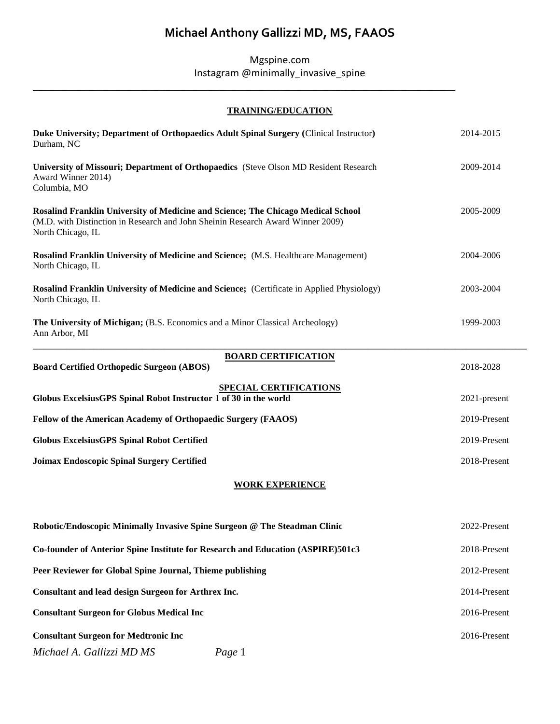# **Michael Anthony Gallizzi MD, MS, FAAOS**

Mgspine.com Instagram @minimally\_invasive\_spine

\_\_\_\_\_\_\_\_\_\_\_\_\_\_\_\_\_\_\_\_\_\_\_\_\_\_\_\_\_\_\_\_\_\_\_\_\_\_\_\_\_\_\_\_\_\_\_\_\_\_\_\_\_\_\_\_\_\_\_\_\_\_\_\_\_\_\_\_\_\_\_\_\_\_\_\_\_

## **TRAINING/EDUCATION**

| Duke University; Department of Orthopaedics Adult Spinal Surgery (Clinical Instructor)<br>Durham, NC                                                                                     | 2014-2015    |
|------------------------------------------------------------------------------------------------------------------------------------------------------------------------------------------|--------------|
| University of Missouri; Department of Orthopaedics (Steve Olson MD Resident Research<br>Award Winner 2014)<br>Columbia, MO                                                               | 2009-2014    |
| Rosalind Franklin University of Medicine and Science; The Chicago Medical School<br>(M.D. with Distinction in Research and John Sheinin Research Award Winner 2009)<br>North Chicago, IL | 2005-2009    |
| <b>Rosalind Franklin University of Medicine and Science; (M.S. Healthcare Management)</b><br>North Chicago, IL                                                                           | 2004-2006    |
| <b>Rosalind Franklin University of Medicine and Science;</b> (Certificate in Applied Physiology)<br>North Chicago, IL                                                                    | 2003-2004    |
| The University of Michigan; (B.S. Economics and a Minor Classical Archeology)<br>Ann Arbor, MI                                                                                           | 1999-2003    |
| <b>BOARD CERTIFICATION</b><br><b>Board Certified Orthopedic Surgeon (ABOS)</b>                                                                                                           | 2018-2028    |
| <b>SPECIAL CERTIFICATIONS</b><br>Globus Excelsius GPS Spinal Robot Instructor 1 of 30 in the world                                                                                       | 2021-present |
| Fellow of the American Academy of Orthopaedic Surgery (FAAOS)                                                                                                                            | 2019-Present |
| <b>Globus ExcelsiusGPS Spinal Robot Certified</b>                                                                                                                                        | 2019-Present |
| <b>Joimax Endoscopic Spinal Surgery Certified</b>                                                                                                                                        | 2018-Present |
| <b>WORK EXPERIENCE</b>                                                                                                                                                                   |              |
| Robotic/Endoscopic Minimally Invasive Spine Surgeon @ The Steadman Clinic                                                                                                                | 2022-Present |
| Co-founder of Anterior Spine Institute for Research and Education (ASPIRE)501c3                                                                                                          | 2018-Present |
| Peer Reviewer for Global Spine Journal, Thieme publishing                                                                                                                                | 2012-Present |
| Consultant and lead design Surgeon for Arthrex Inc.                                                                                                                                      | 2014-Present |
| <b>Consultant Surgeon for Globus Medical Inc</b>                                                                                                                                         | 2016-Present |
| <b>Consultant Surgeon for Medtronic Inc</b>                                                                                                                                              | 2016-Present |
| Michael A. Gallizzi MD MS<br>Page 1                                                                                                                                                      |              |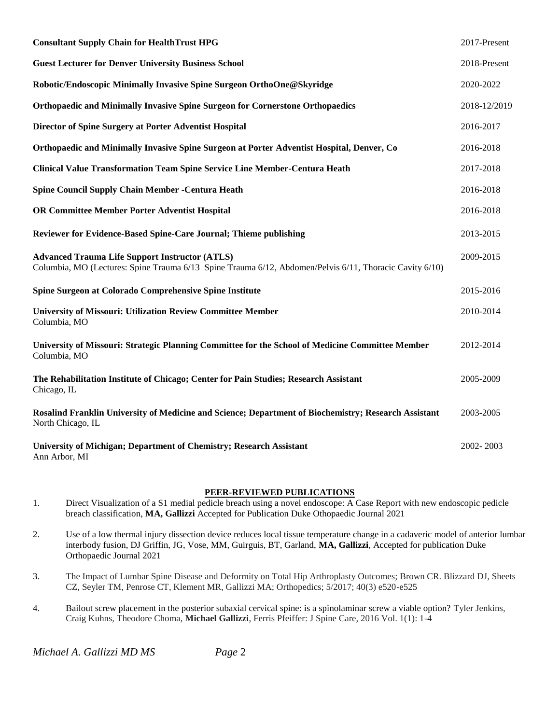| <b>Consultant Supply Chain for HealthTrust HPG</b>                                                                                                               | 2017-Present |
|------------------------------------------------------------------------------------------------------------------------------------------------------------------|--------------|
| <b>Guest Lecturer for Denver University Business School</b>                                                                                                      | 2018-Present |
| Robotic/Endoscopic Minimally Invasive Spine Surgeon OrthoOne@Skyridge                                                                                            | 2020-2022    |
| <b>Orthopaedic and Minimally Invasive Spine Surgeon for Cornerstone Orthopaedics</b>                                                                             | 2018-12/2019 |
| <b>Director of Spine Surgery at Porter Adventist Hospital</b>                                                                                                    | 2016-2017    |
| Orthopaedic and Minimally Invasive Spine Surgeon at Porter Adventist Hospital, Denver, Co                                                                        | 2016-2018    |
| <b>Clinical Value Transformation Team Spine Service Line Member-Centura Heath</b>                                                                                | 2017-2018    |
| <b>Spine Council Supply Chain Member - Centura Heath</b>                                                                                                         | 2016-2018    |
| <b>OR Committee Member Porter Adventist Hospital</b>                                                                                                             | 2016-2018    |
| Reviewer for Evidence-Based Spine-Care Journal; Thieme publishing                                                                                                | 2013-2015    |
| <b>Advanced Trauma Life Support Instructor (ATLS)</b><br>Columbia, MO (Lectures: Spine Trauma 6/13 Spine Trauma 6/12, Abdomen/Pelvis 6/11, Thoracic Cavity 6/10) | 2009-2015    |
| Spine Surgeon at Colorado Comprehensive Spine Institute                                                                                                          | 2015-2016    |
| <b>University of Missouri: Utilization Review Committee Member</b><br>Columbia, MO                                                                               | 2010-2014    |
| University of Missouri: Strategic Planning Committee for the School of Medicine Committee Member<br>Columbia, MO                                                 | 2012-2014    |
| The Rehabilitation Institute of Chicago; Center for Pain Studies; Research Assistant<br>Chicago, IL                                                              | 2005-2009    |
| Rosalind Franklin University of Medicine and Science; Department of Biochemistry; Research Assistant<br>North Chicago, IL                                        | 2003-2005    |
| University of Michigan; Department of Chemistry; Research Assistant<br>Ann Arbor, MI                                                                             | 2002-2003    |

#### **PEER-REVIEWED PUBLICATIONS**

- 1. Direct Visualization of a S1 medial pedicle breach using a novel endoscope: A Case Report with new endoscopic pedicle breach classification, **MA, Gallizzi** Accepted for Publication Duke Othopaedic Journal 2021
- 2. Use of a low thermal injury dissection device reduces local tissue temperature change in a cadaveric model of anterior lumbar interbody fusion, DJ Griffin, JG, Vose, MM, Guirguis, BT, Garland, **MA, Gallizzi**, Accepted for publication Duke Orthopaedic Journal 2021
- 3. The Impact of Lumbar Spine Disease and Deformity on Total Hip Arthroplasty Outcomes; Brown CR. Blizzard DJ, Sheets CZ, Seyler TM, Penrose CT, Klement MR, Gallizzi MA; Orthopedics; 5/2017; 40(3) e520-e525
- 4. Bailout screw placement in the posterior subaxial cervical spine: is a spinolaminar screw a viable option? Tyler Jenkins, Craig Kuhns, Theodore Choma, **Michael Gallizzi**, Ferris Pfeiffer: J Spine Care, 2016 Vol. 1(1): 1-4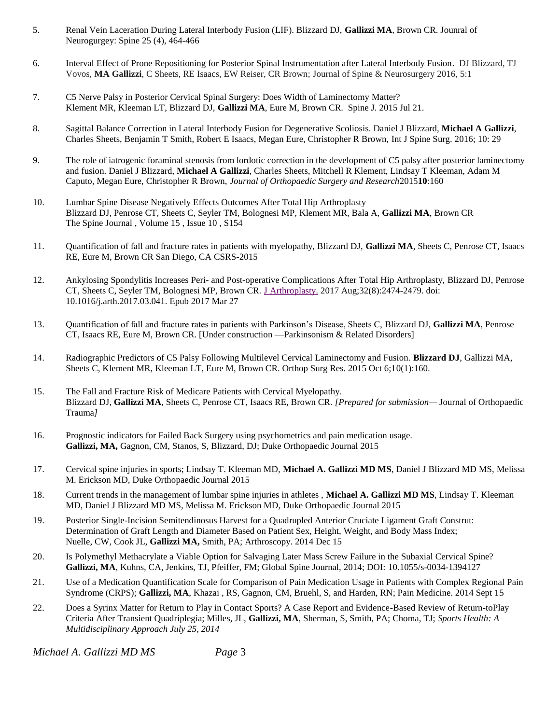- 5. Renal Vein Laceration During Lateral Interbody Fusion (LIF). Blizzard DJ, **Gallizzi MA**, Brown CR. Jounral of Neurogurgey: Spine 25 (4), 464-466
- 6. [Interval Effect of Prone Repositioning for Posterior Spinal Instrumentation after Lateral Interbody Fusion.](https://www.researchgate.net/profile/Daniel_Blizzard/publication/308646945_Interval_Effect_of_Prone_Repositioning_for_Posterior_Spinal_Instrumentation_after_Lateral_Interbody_Fusion/links/57e9f12a08aed0a2913054a1.pdf) DJ Blizzard, TJ Vovos, **MA Gallizzi**, C Sheets, RE Isaacs, EW Reiser, CR Brown; Journal of Spine & Neurosurgery 2016, 5:1
- 7. C5 Nerve Palsy in Posterior Cervical Spinal Surgery: Does Width of Laminectomy Matter? Klement MR, Kleeman LT, Blizzard DJ, **Gallizzi MA**, Eure M, Brown CR. Spine J. 2015 Jul 21.
- 8. [Sagittal Balance Correction in Lateral Interbody Fusion for Degenerative Scoliosis.](https://scholar.google.com/citations?view_op=view_citation&hl=en&user=QGA7sBAAAAAJ&sortby=pubdate&citation_for_view=QGA7sBAAAAAJ:_FxGoFyzp5QC) Daniel J Blizzard, **Michael A Gallizzi**, Charles Sheets, Benjamin T Smith, Robert E Isaacs, Megan Eure, Christopher R Brown, [Int J Spine Surg.](https://www.ncbi.nlm.nih.gov/pmc/articles/PMC5027815/) 2016; 10: 29
- 9. [The role of iatrogenic foraminal stenosis from lordotic correction in the development of C5 palsy after posterior laminectomy](https://josr-online.biomedcentral.com/articles/10.1186/s13018-015-0297-2) [and fusion.](https://josr-online.biomedcentral.com/articles/10.1186/s13018-015-0297-2) Daniel J Blizzard, **Michael A Gallizzi**, Charles Sheets, Mitchell R Klement, Lindsay T Kleeman, Adam M Caputo, Megan Eure, Christopher R Brown, *Journal of Orthopaedic Surgery and Research*2015**10**:160
- 10. [Lumbar Spine Disease Negatively Effects Outcomes After Total Hip Arthroplasty](http://sms.spine.org/Submission/SubmissionGeneral.aspx?psi=7358) Blizzard DJ, Penrose CT, Sheets C, Seyler TM, Bolognesi MP, Klement MR, Bala A, **Gallizzi MA**, Brown CR The Spine Journal , Volume 15 , Issue 10 , S154
- 11. Quantification of fall and fracture rates in patients with myelopathy, Blizzard DJ, **Gallizzi MA**, Sheets C, Penrose CT, Isaacs RE, Eure M, Brown CR San Diego, CA CSRS-2015
- 12. Ankylosing Spondylitis Increases Peri- and Post-operative Complications After Total Hip Arthroplasty, Blizzard DJ, Penrose CT, Sheets C, Seyler TM, Bolognesi MP, Brown CR. [J Arthroplasty.](https://www.ncbi.nlm.nih.gov/pubmed/28438449) 2017 Aug;32(8):2474-2479. doi: 10.1016/j.arth.2017.03.041. Epub 2017 Mar 27
- 13. Quantification of fall and fracture rates in patients with Parkinson's Disease, Sheets C, Blizzard DJ, **Gallizzi MA**, Penrose CT, Isaacs RE, Eure M, Brown CR. [Under construction —Parkinsonism & Related Disorders]
- 14. Radiographic Predictors of C5 Palsy Following Multilevel Cervical Laminectomy and Fusion. **Blizzard DJ**, Gallizzi MA, Sheets C, Klement MR, Kleeman LT, Eure M, Brown CR. Orthop Surg Res. 2015 Oct 6;10(1):160.
- 15. The Fall and Fracture Risk of Medicare Patients with Cervical Myelopathy. Blizzard DJ, **Gallizzi MA**, Sheets C, Penrose CT, Isaacs RE, Brown CR. *[Prepared for submission—* Journal of Orthopaedic Trauma*]*
- 16. Prognostic indicators for Failed Back Surgery using psychometrics and pain medication usage. **Gallizzi, MA,** Gagnon, CM, Stanos, S, Blizzard, DJ; Duke Orthopaedic Journal 2015
- 17. Cervical spine injuries in sports; Lindsay T. Kleeman MD, **Michael A. Gallizzi MD MS**, Daniel J Blizzard MD MS, Melissa M. Erickson MD, Duke Orthopaedic Journal 2015
- 18. Current trends in the management of lumbar spine injuries in athletes , **Michael A. Gallizzi MD MS**, Lindsay T. Kleeman MD, Daniel J Blizzard MD MS, Melissa M. Erickson MD, Duke Orthopaedic Journal 2015
- 19. Posterior Single-Incision Semitendinosus Harvest for a Quadrupled Anterior Cruciate Ligament Graft Construt: Determination of Graft Length and Diameter Based on Patient Sex, Height, Weight, and Body Mass Index; Nuelle, CW, Cook JL, **Gallizzi MA,** Smith, PA; Arthroscopy. 2014 Dec 15
- 20. Is Polymethyl Methacrylate a Viable Option for Salvaging Later Mass Screw Failure in the Subaxial Cervical Spine? **Gallizzi, MA**, Kuhns, CA, Jenkins, TJ, Pfeiffer, FM; Global Spine Journal, 2014; DOI: 10.1055/s-0034-1394127
- 21. Use of a Medication Quantification Scale for Comparison of Pain Medication Usage in Patients with Complex Regional Pain Syndrome (CRPS); **Gallizzi, MA**, Khazai , RS, Gagnon, CM, Bruehl, S, and Harden, RN; Pain Medicine. 2014 Sept 15
- 22. Does a Syrinx Matter for Return to Play in Contact Sports? A Case Report and Evidence-Based Review of Return-toPlay Criteria After Transient Quadriplegia; Milles, JL, **Gallizzi, MA**, Sherman, S, Smith, PA; Choma, TJ; *Sports Health: A Multidisciplinary Approach July 25, 2014*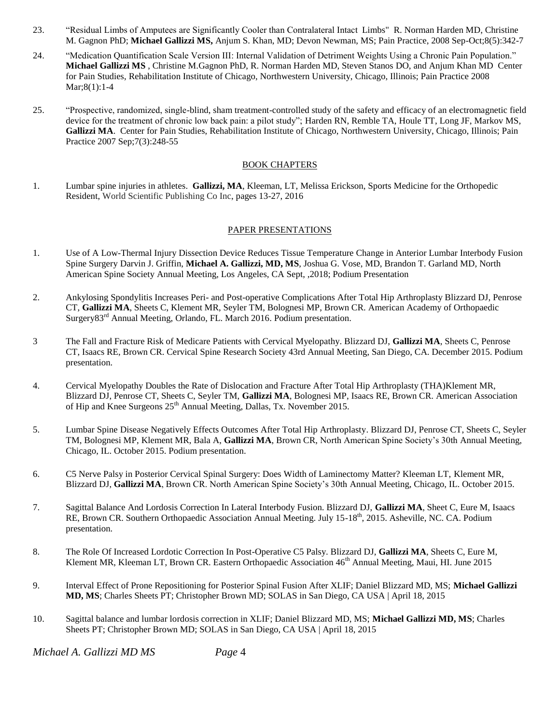- 23. "Residual Limbs of Amputees are Significantly Cooler than Contralateral Intact Limbs" R. Norman Harden MD, Christine M. Gagnon PhD; **Michael Gallizzi MS,** Anjum S. Khan, MD; Devon Newman, MS; Pain Practice, 2008 Sep-Oct;8(5):342-7
- 24. "Medication Quantification Scale Version III: Internal Validation of Detriment Weights Using a Chronic Pain Population." **Michael Gallizzi MS** , Christine M.Gagnon PhD, R. Norman Harden MD, Steven Stanos DO, and Anjum Khan MD Center for Pain Studies, Rehabilitation Institute of Chicago, Northwestern University, Chicago, Illinois; Pain Practice 2008 Mar;8(1):1-4
- 25. "Prospective, randomized, single-blind, sham treatment-controlled study of the safety and efficacy of an electromagnetic field device for the treatment of chronic low back pain: a pilot study"; [Harden RN,](http://www.ncbi.nlm.nih.gov.ezproxy.galter.northwestern.edu/sites/entrez?Db=pubmed&Cmd=Search&Term=%22Harden%20RN%22%5BAuthor%5D&itool=EntrezSystem2.PEntrez.Pubmed.Pubmed_ResultsPanel.Pubmed_RVAbstractPlus) [Remble TA,](http://www.ncbi.nlm.nih.gov.ezproxy.galter.northwestern.edu/sites/entrez?Db=pubmed&Cmd=Search&Term=%22Remble%20TA%22%5BAuthor%5D&itool=EntrezSystem2.PEntrez.Pubmed.Pubmed_ResultsPanel.Pubmed_RVAbstractPlus) [Houle TT,](http://www.ncbi.nlm.nih.gov.ezproxy.galter.northwestern.edu/sites/entrez?Db=pubmed&Cmd=Search&Term=%22Houle%20TT%22%5BAuthor%5D&itool=EntrezSystem2.PEntrez.Pubmed.Pubmed_ResultsPanel.Pubmed_RVAbstractPlus) [Long JF,](http://www.ncbi.nlm.nih.gov.ezproxy.galter.northwestern.edu/sites/entrez?Db=pubmed&Cmd=Search&Term=%22Long%20JF%22%5BAuthor%5D&itool=EntrezSystem2.PEntrez.Pubmed.Pubmed_ResultsPanel.Pubmed_RVAbstractPlus) [Markov MS,](http://www.ncbi.nlm.nih.gov.ezproxy.galter.northwestern.edu/sites/entrez?Db=pubmed&Cmd=Search&Term=%22Markov%20MS%22%5BAuthor%5D&itool=EntrezSystem2.PEntrez.Pubmed.Pubmed_ResultsPanel.Pubmed_RVAbstractPlus) **[Gallizzi MA](http://www.ncbi.nlm.nih.gov.ezproxy.galter.northwestern.edu/sites/entrez?Db=pubmed&Cmd=Search&Term=%22Gallizzi%20MA%22%5BAuthor%5D&itool=EntrezSystem2.PEntrez.Pubmed.Pubmed_ResultsPanel.Pubmed_RVAbstractPlus)**. Center for Pain Studies, Rehabilitation Institute of Chicago, Northwestern University, Chicago, Illinois; Pain Practice 2007 Sep;7(3):248-55

#### BOOK CHAPTERS

1. Lumbar spine injuries in athletes. **Gallizzi, MA**, Kleeman, LT, Melissa Erickson, Sports Medicine for the Orthopedic Resident, World Scientific Publishing Co Inc, pages 13-27, 2016

#### PAPER PRESENTATIONS

- 1. Use of A Low-Thermal Injury Dissection Device Reduces Tissue Temperature Change in Anterior Lumbar Interbody Fusion Spine Surgery Darvin J. Griffin, **Michael A. Gallizzi, MD, MS**, Joshua G. Vose, MD, Brandon T. Garland MD, North American Spine Society Annual Meeting, Los Angeles, CA Sept, ,2018; Podium Presentation
- 2. Ankylosing Spondylitis Increases Peri- and Post-operative Complications After Total Hip Arthroplasty Blizzard DJ, Penrose CT, **Gallizzi MA**, Sheets C, Klement MR, Seyler TM, Bolognesi MP, Brown CR. American Academy of Orthopaedic Surgery83rd Annual Meeting, Orlando, FL. March 2016. Podium presentation.
- 3 The Fall and Fracture Risk of Medicare Patients with Cervical Myelopathy. Blizzard DJ, **Gallizzi MA**, Sheets C, Penrose CT, Isaacs RE, Brown CR. Cervical Spine Research Society 43rd Annual Meeting, San Diego, CA. December 2015. Podium presentation.
- 4. Cervical Myelopathy Doubles the Rate of Dislocation and Fracture After Total Hip Arthroplasty (THA)Klement MR, Blizzard DJ, Penrose CT, Sheets C, Seyler TM, **Gallizzi MA**, Bolognesi MP, Isaacs RE, Brown CR. American Association of Hip and Knee Surgeons 25<sup>th</sup> Annual Meeting, Dallas, Tx. November 2015.
- 5. [Lumbar Spine Disease Negatively Effects Outcomes After Total Hip Arthroplasty.](http://sms.spine.org/Submission/SubmissionGeneral.aspx?psi=7358) Blizzard DJ, Penrose CT, Sheets C, Seyler TM, Bolognesi MP, Klement MR, Bala A, **Gallizzi MA**, Brown CR, North American Spine Society's 30th Annual Meeting, Chicago, IL. October 2015. Podium presentation.
- 6. C5 Nerve Palsy in Posterior Cervical Spinal Surgery: Does Width of Laminectomy Matter? Kleeman LT, Klement MR, Blizzard DJ, **Gallizzi MA**, Brown CR. North American Spine Society's 30th Annual Meeting, Chicago, IL. October 2015.
- 7. Sagittal Balance And Lordosis Correction In Lateral Interbody Fusion. Blizzard DJ, **Gallizzi MA**, Sheet C, Eure M, Isaacs RE, Brown CR. Southern Orthopaedic Association Annual Meeting. July 15-18<sup>th</sup>, 2015. Asheville, NC. CA. Podium presentation.
- 8. The Role Of Increased Lordotic Correction In Post-Operative C5 Palsy. Blizzard DJ, **Gallizzi MA**, Sheets C, Eure M, Klement MR, Kleeman LT, Brown CR. Eastern Orthopaedic Association 46<sup>th</sup> Annual Meeting, Maui, HI. June 2015
- 9. Interval Effect of Prone Repositioning for Posterior Spinal Fusion After XLIF; Daniel Blizzard MD, MS; **Michael Gallizzi MD, MS**; Charles Sheets PT; Christopher Brown MD; SOLAS in San Diego, CA USA | April 18, 2015
- 10. Sagittal balance and lumbar lordosis correction in XLIF; Daniel Blizzard MD, MS; **Michael Gallizzi MD, MS**; Charles Sheets PT; Christopher Brown MD; SOLAS in San Diego, CA USA | April 18, 2015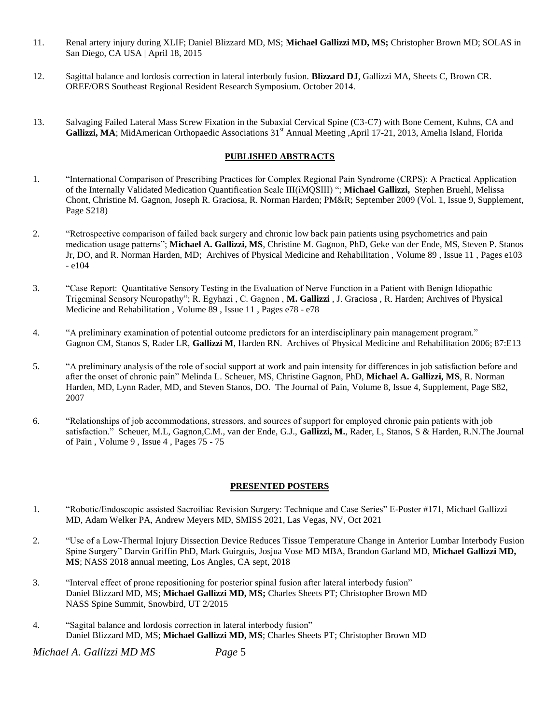- 11. Renal artery injury during XLIF; Daniel Blizzard MD, MS; **Michael Gallizzi MD, MS;** Christopher Brown MD; SOLAS in San Diego, CA USA | April 18, 2015
- 12. Sagittal balance and lordosis correction in lateral interbody fusion. **Blizzard DJ**, Gallizzi MA, Sheets C, Brown CR. OREF/ORS Southeast Regional Resident Research Symposium. October 2014.
- 13. Salvaging Failed Lateral Mass Screw Fixation in the Subaxial Cervical Spine (C3-C7) with Bone Cement, Kuhns, CA and Gallizzi, MA; MidAmerican Orthopaedic Associations 31<sup>st</sup> Annual Meeting ,April 17-21, 2013, Amelia Island, Florida

#### **PUBLISHED ABSTRACTS**

- 1. "International Comparison of Prescribing Practices for Complex Regional Pain Syndrome (CRPS): A Practical Application of the Internally Validated Medication Quantification Scale III(iMQSIII) "; **Michael Gallizzi,** Stephen Bruehl, Melissa Chont, Christine M. Gagnon, Joseph R. Graciosa, R. Norman Harden; PM&R; September 2009 (Vol. 1, Issue 9, Supplement, Page S218)
- 2. "Retrospective comparison of failed back surgery and chronic low back pain patients using psychometrics and pain medication usage patterns"; **Michael A. Gallizzi, MS**, Christine M. Gagnon, PhD, Geke van der Ende, MS, Steven P. Stanos Jr, DO, and R. Norman Harden, MD; Archives of Physical Medicine and Rehabilitation , Volume 89 , Issue 11 , Pages e103 - e104
- 3. "Case Report: Quantitative Sensory Testing in the Evaluation of Nerve Function in a Patient with Benign Idiopathic Trigeminal Sensory Neuropathy"; R. Egyhazi , C. Gagnon , **M. Gallizzi** , J. Graciosa , R. Harden; Archives of Physical Medicine and Rehabilitation , Volume 89 , Issue 11 , Pages e78 - e78
- 4. "A preliminary examination of potential outcome predictors for an interdisciplinary pain management program." Gagnon CM, Stanos S, Rader LR, **Gallizzi M**, Harden RN. Archives of Physical Medicine and Rehabilitation 2006; 87:E13
- 5. "A preliminary analysis of the role of social support at work and pain intensity for differences in job satisfaction before and after the onset of chronic pain" [Melinda L. Scheuer, MS,](mailto:mscheuer@ric.org) Christine Gagnon, PhD, **Michael A. Gallizzi, MS**, R. Norman Harden, MD, Lynn Rader, MD, and Steven Stanos, DO. The Journal of Pain, [Volume 8,](http://www.jpain.org/issues?Vol=8) [Issue 4, Supplement,](http://www.jpain.org/issues/contents?issue_key=S1526-5900(07)X0070-1) Page S82, 2007
- 6. "Relationships of job accommodations, stressors, and sources of support for employed chronic pain patients with job satisfaction." Scheuer, M.L, Gagnon,C.M., van der Ende, G.J., **Gallizzi, M.**, Rader, L, Stanos, S & Harden, R.N.The Journal of Pain , Volume 9 , Issue 4 , Pages 75 - 75

#### **PRESENTED POSTERS**

- 1. "Robotic/Endoscopic assisted Sacroiliac Revision Surgery: Technique and Case Series" E-Poster #171, Michael Gallizzi MD, Adam Welker PA, Andrew Meyers MD, SMISS 2021, Las Vegas, NV, Oct 2021
- 2. "Use of a Low-Thermal Injury Dissection Device Reduces Tissue Temperature Change in Anterior Lumbar Interbody Fusion Spine Surgery" Darvin Griffin PhD, Mark Guirguis, Josjua Vose MD MBA, Brandon Garland MD, **Michael Gallizzi MD, MS**; NASS 2018 annual meeting, Los Angles, CA sept, 2018
- 3. "Interval effect of prone repositioning for posterior spinal fusion after lateral interbody fusion" Daniel Blizzard MD, MS; **Michael Gallizzi MD, MS;** Charles Sheets PT; Christopher Brown MD NASS Spine Summit, Snowbird, UT 2/2015
- 4. "Sagital balance and lordosis correction in lateral interbody fusion" Daniel Blizzard MD, MS; **Michael Gallizzi MD, MS**; Charles Sheets PT; Christopher Brown MD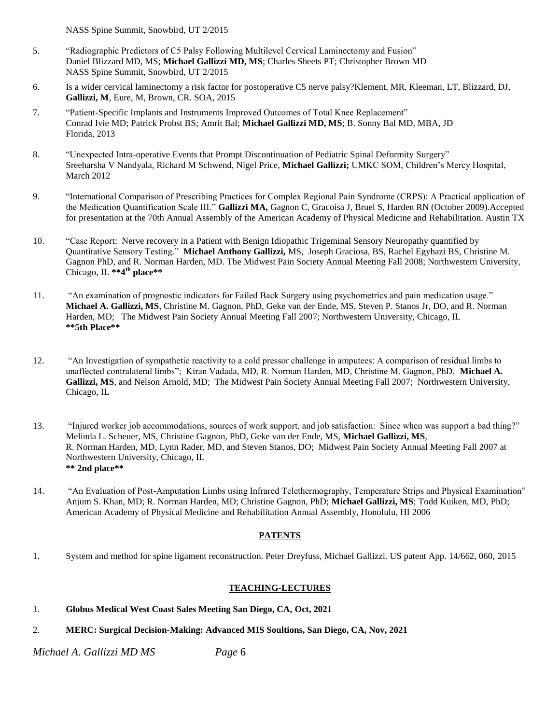NASS Spine Summit, Snowbird, UT 2/2015

- 5. "Radiographic Predictors of C5 Palsy Following Multilevel Cervical Laminectomy and Fusion" Daniel Blizzard MD, MS; **Michael Gallizzi MD, MS**; Charles Sheets PT; Christopher Brown MD NASS Spine Summit, Snowbird, UT 2/2015
- 6. Is a wider cervical laminectomy a risk factor for postoperative C5 nerve palsy?Klement, MR, Kleeman, LT, Blizzard, DJ, **Gallizzi, M**, Eure, M, Brown, CR. SOA, 2015
- 7. "Patient-Specific Implants and Instruments Improved Outcomes of Total Knee Replacement" Conrad Ivie MD; Patrick Probst BS; Amrit Bal; **Michael Gallizzi MD, MS**; B. Sonny Bal MD, MBA, JD Florida, 2013
- 8. "Unexpected Intra-operative Events that Prompt Discontinuation of Pediatric Spinal Deformity Surgery" Sreeharsha V Nandyala, Richard M Schwend, Nigel Price, **Michael Gallizzi;** UMKC SOM, Children's Mercy Hospital, March 2012
- 9. "International Comparison of Prescribing Practices for Complex Regional Pain Syndrome (CRPS): A Practical application of the Medication Quantification Scale III." **Gallizzi MA,** Gagnon C, Gracoisa J, Bruel S, Harden RN (October 2009).Accepted for presentation at the 70th Annual Assembly of the American Academy of Physical Medicine and Rehabilitation. Austin TX
- 10. "Case Report: Nerve recovery in a Patient with Benign Idiopathic Trigeminal Sensory Neuropathy quantified by Quantitative Sensory Testing." **Michael Anthony Gallizzi,** MS, Joseph Graciosa, BS, Rachel Egyhazi BS, Christine M. Gagnon PhD, and R. Norman Harden, MD. The Midwest Pain Society Annual Meeting Fall 2008; Northwestern University, Chicago, IL **\*\*4th place\*\***
- 11. "An examination of prognostic indicators for Failed Back Surgery using psychometrics and pain medication usage." **Michael A. Gallizzi, MS**, Christine M. Gagnon, PhD, Geke van der Ende, MS, Steven P. Stanos Jr, DO, and R. Norman Harden, MD; The Midwest Pain Society Annual Meeting Fall 2007; Northwestern University, Chicago, IL **\*\*5th Place\*\***
- 12. "An Investigation of sympathetic reactivity to a cold pressor challenge in amputees: A comparison of residual limbs to unaffected contralateral limbs"; Kiran Vadada, MD, R. Norman Harden, MD, Christine M. Gagnon, PhD, **Michael A. Gallizzi, MS**, and Nelson Arnold, MD; The Midwest Pain Society Annual Meeting Fall 2007; Northwestern University, Chicago, IL
- 13. "Injured worker job accommodations, sources of work support, and job satisfaction: Since when was support a bad thing?" [Melinda L. Scheuer, MS,](mailto:mscheuer@ric.org) Christine Gagnon, PhD, Geke van der Ende, MS, **Michael Gallizzi, MS**, R. Norman Harden, MD, Lynn Rader, MD, and Steven Stanos, DO; Midwest Pain Society Annual Meeting Fall 2007 at Northwestern University, Chicago, IL **\*\* 2nd place\*\***
- 14. "An Evaluation of Post-Amputation Limbs using Infrared Telethermography, Temperature Strips and Physical Examination" Anjum S. Khan, MD; R. Norman Harden, MD; Christine Gagnon, PhD; **Michael Gallizzi, MS**; Todd Kuiken, MD, PhD; American Academy of Physical Medicine and Rehabilitation Annual Assembly, Honolulu, HI 2006

#### **PATENTS**

1. System and method for spine ligament reconstruction. Peter Dreyfuss, Michael Gallizzi. US patent App. 14/662, 060, 2015

#### **TEACHING-LECTURES**

- 1. **Globus Medical West Coast Sales Meeting San Diego, CA, Oct, 2021**
- 2. **MERC: Surgical Decision-Making: Advanced MIS Soultions, San Diego, CA, Nov, 2021**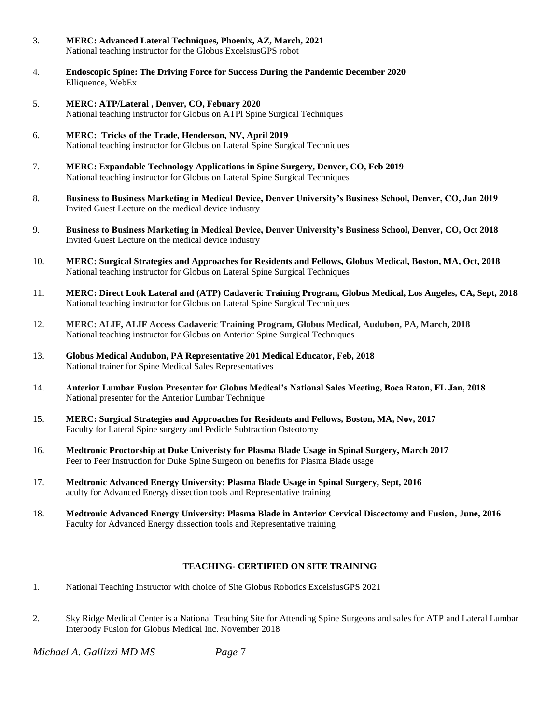- 3. **MERC: Advanced Lateral Techniques, Phoenix, AZ, March, 2021** National teaching instructor for the Globus ExcelsiusGPS robot
- 4. **Endoscopic Spine: The Driving Force for Success During the Pandemic December 2020** Elliquence, WebEx
- 5. **MERC: ATP/Lateral , Denver, CO, Febuary 2020** National teaching instructor for Globus on ATPl Spine Surgical Techniques
- 6. **MERC: Tricks of the Trade, Henderson, NV, April 2019** National teaching instructor for Globus on Lateral Spine Surgical Techniques
- 7. **MERC: Expandable Technology Applications in Spine Surgery, Denver, CO, Feb 2019** National teaching instructor for Globus on Lateral Spine Surgical Techniques
- 8. **Business to Business Marketing in Medical Device, Denver University's Business School, Denver, CO, Jan 2019** Invited Guest Lecture on the medical device industry
- 9. **Business to Business Marketing in Medical Device, Denver University's Business School, Denver, CO, Oct 2018** Invited Guest Lecture on the medical device industry
- 10. **MERC: Surgical Strategies and Approaches for Residents and Fellows, Globus Medical, Boston, MA, Oct, 2018** National teaching instructor for Globus on Lateral Spine Surgical Techniques
- 11. **MERC: Direct Look Lateral and (ATP) Cadaveric Training Program, Globus Medical, Los Angeles, CA, Sept, 2018** National teaching instructor for Globus on Lateral Spine Surgical Techniques
- 12. **MERC: ALIF, ALIF Access Cadaveric Training Program, Globus Medical, Audubon, PA, March, 2018** National teaching instructor for Globus on Anterior Spine Surgical Techniques
- 13. **Globus Medical Audubon, PA Representative 201 Medical Educator, Feb, 2018** National trainer for Spine Medical Sales Representatives
- 14. **Anterior Lumbar Fusion Presenter for Globus Medical's National Sales Meeting, Boca Raton, FL Jan, 2018** National presenter for the Anterior Lumbar Technique
- 15. **MERC: Surgical Strategies and Approaches for Residents and Fellows, Boston, MA, Nov, 2017** Faculty for Lateral Spine surgery and Pedicle Subtraction Osteotomy
- 16. **Medtronic Proctorship at Duke Univeristy for Plasma Blade Usage in Spinal Surgery, March 2017** Peer to Peer Instruction for Duke Spine Surgeon on benefits for Plasma Blade usage
- 17. **Medtronic Advanced Energy University: Plasma Blade Usage in Spinal Surgery, Sept, 2016** aculty for Advanced Energy dissection tools and Representative training
- 18. **Medtronic Advanced Energy University: Plasma Blade in Anterior Cervical Discectomy and Fusion, June, 2016** Faculty for Advanced Energy dissection tools and Representative training

### **TEACHING- CERTIFIED ON SITE TRAINING**

- 1. National Teaching Instructor with choice of Site Globus Robotics ExcelsiusGPS 2021
- 2. Sky Ridge Medical Center is a National Teaching Site for Attending Spine Surgeons and sales for ATP and Lateral Lumbar Interbody Fusion for Globus Medical Inc. November 2018